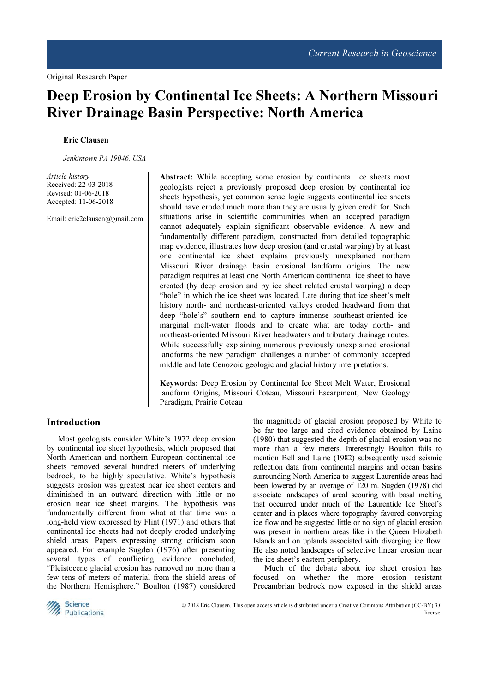# Deep Erosion by Continental Ice Sheets: A Northern Missouri River Drainage Basin Perspective: North America

#### Eric Clausen

Jenkintown PA 19046, USA

Article history Received: 22-03-2018 Revised: 01-06-2018 Accepted: 11-06-2018

Email: eric2clausen@gmail.com

Abstract: While accepting some erosion by continental ice sheets most geologists reject a previously proposed deep erosion by continental ice sheets hypothesis, yet common sense logic suggests continental ice sheets should have eroded much more than they are usually given credit for. Such situations arise in scientific communities when an accepted paradigm cannot adequately explain significant observable evidence. A new and fundamentally different paradigm, constructed from detailed topographic map evidence, illustrates how deep erosion (and crustal warping) by at least one continental ice sheet explains previously unexplained northern Missouri River drainage basin erosional landform origins. The new paradigm requires at least one North American continental ice sheet to have created (by deep erosion and by ice sheet related crustal warping) a deep "hole" in which the ice sheet was located. Late during that ice sheet's melt history north- and northeast-oriented valleys eroded headward from that deep "hole's" southern end to capture immense southeast-oriented icemarginal melt-water floods and to create what are today north- and northeast-oriented Missouri River headwaters and tributary drainage routes. While successfully explaining numerous previously unexplained erosional landforms the new paradigm challenges a number of commonly accepted middle and late Cenozoic geologic and glacial history interpretations.

Keywords: Deep Erosion by Continental Ice Sheet Melt Water, Erosional landform Origins, Missouri Coteau, Missouri Escarpment, New Geology Paradigm, Prairie Coteau

## Introduction

Most geologists consider White's 1972 deep erosion by continental ice sheet hypothesis, which proposed that North American and northern European continental ice sheets removed several hundred meters of underlying bedrock, to be highly speculative. White's hypothesis suggests erosion was greatest near ice sheet centers and diminished in an outward direction with little or no erosion near ice sheet margins. The hypothesis was fundamentally different from what at that time was a long-held view expressed by Flint (1971) and others that continental ice sheets had not deeply eroded underlying shield areas. Papers expressing strong criticism soon appeared. For example Sugden (1976) after presenting several types of conflicting evidence concluded, "Pleistocene glacial erosion has removed no more than a few tens of meters of material from the shield areas of the Northern Hemisphere." Boulton (1987) considered

the magnitude of glacial erosion proposed by White to be far too large and cited evidence obtained by Laine (1980) that suggested the depth of glacial erosion was no more than a few meters. Interestingly Boulton fails to mention Bell and Laine (1982) subsequently used seismic reflection data from continental margins and ocean basins surrounding North America to suggest Laurentide areas had been lowered by an average of 120 m. Sugden (1978) did associate landscapes of areal scouring with basal melting that occurred under much of the Laurentide Ice Sheet's center and in places where topography favored converging ice flow and he suggested little or no sign of glacial erosion was present in northern areas like in the Queen Elizabeth Islands and on uplands associated with diverging ice flow. He also noted landscapes of selective linear erosion near the ice sheet's eastern periphery.

Much of the debate about ice sheet erosion has focused on whether the more erosion resistant Precambrian bedrock now exposed in the shield areas



 © 2018 Eric Clausen. This open access article is distributed under a Creative Commons Attribution (CC-BY) 3.0 license.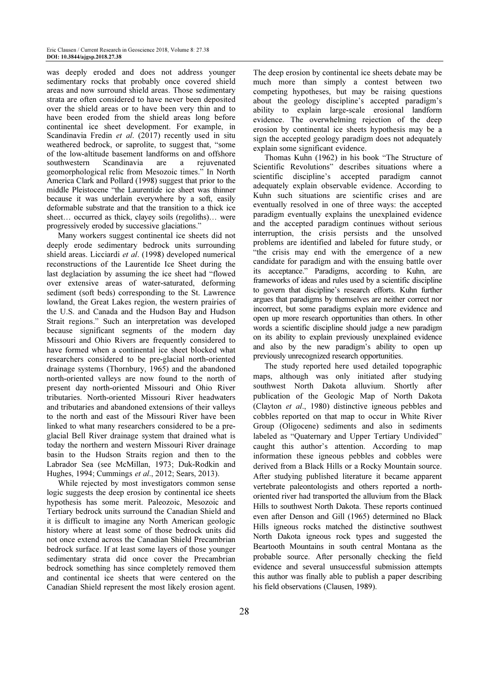was deeply eroded and does not address younger sedimentary rocks that probably once covered shield areas and now surround shield areas. Those sedimentary strata are often considered to have never been deposited over the shield areas or to have been very thin and to have been eroded from the shield areas long before continental ice sheet development. For example, in Scandinavia Fredin et al. (2017) recently used in situ weathered bedrock, or saprolite, to suggest that, "some of the low-altitude basement landforms on and offshore southwestern Scandinavia are a rejuvenated geomorphological relic from Mesozoic times." In North America Clark and Pollard (1998) suggest that prior to the middle Pleistocene "the Laurentide ice sheet was thinner because it was underlain everywhere by a soft, easily deformable substrate and that the transition to a thick ice sheet... occurred as thick, clayey soils (regoliths)... were progressively eroded by successive glaciations."

Many workers suggest continental ice sheets did not deeply erode sedimentary bedrock units surrounding shield areas. Licciardi et al. (1998) developed numerical reconstructions of the Laurentide Ice Sheet during the last deglaciation by assuming the ice sheet had "flowed over extensive areas of water-saturated, deforming sediment (soft beds) corresponding to the St. Lawrence lowland, the Great Lakes region, the western prairies of the U.S. and Canada and the Hudson Bay and Hudson Strait regions." Such an interpretation was developed because significant segments of the modern day Missouri and Ohio Rivers are frequently considered to have formed when a continental ice sheet blocked what researchers considered to be pre-glacial north-oriented drainage systems (Thornbury, 1965) and the abandoned north-oriented valleys are now found to the north of present day north-oriented Missouri and Ohio River tributaries. North-oriented Missouri River headwaters and tributaries and abandoned extensions of their valleys to the north and east of the Missouri River have been linked to what many researchers considered to be a preglacial Bell River drainage system that drained what is today the northern and western Missouri River drainage basin to the Hudson Straits region and then to the Labrador Sea (see McMillan, 1973; Duk-Rodkin and Hughes, 1994; Cummings et al., 2012; Sears, 2013).

While rejected by most investigators common sense logic suggests the deep erosion by continental ice sheets hypothesis has some merit. Paleozoic, Mesozoic and Tertiary bedrock units surround the Canadian Shield and it is difficult to imagine any North American geologic history where at least some of those bedrock units did not once extend across the Canadian Shield Precambrian bedrock surface. If at least some layers of those younger sedimentary strata did once cover the Precambrian bedrock something has since completely removed them and continental ice sheets that were centered on the Canadian Shield represent the most likely erosion agent.

The deep erosion by continental ice sheets debate may be much more than simply a contest between two competing hypotheses, but may be raising questions about the geology discipline's accepted paradigm's ability to explain large-scale erosional landform evidence. The overwhelming rejection of the deep erosion by continental ice sheets hypothesis may be a sign the accepted geology paradigm does not adequately explain some significant evidence.

Thomas Kuhn (1962) in his book "The Structure of Scientific Revolutions" describes situations where a scientific discipline's accepted paradigm cannot adequately explain observable evidence. According to Kuhn such situations are scientific crises and are eventually resolved in one of three ways: the accepted paradigm eventually explains the unexplained evidence and the accepted paradigm continues without serious interruption, the crisis persists and the unsolved problems are identified and labeled for future study, or "the crisis may end with the emergence of a new candidate for paradigm and with the ensuing battle over its acceptance." Paradigms, according to Kuhn, are frameworks of ideas and rules used by a scientific discipline to govern that discipline's research efforts. Kuhn further argues that paradigms by themselves are neither correct nor incorrect, but some paradigms explain more evidence and open up more research opportunities than others. In other words a scientific discipline should judge a new paradigm on its ability to explain previously unexplained evidence and also by the new paradigm's ability to open up previously unrecognized research opportunities.

The study reported here used detailed topographic maps, although was only initiated after studying southwest North Dakota alluvium. Shortly after publication of the Geologic Map of North Dakota (Clayton et al., 1980) distinctive igneous pebbles and cobbles reported on that map to occur in White River Group (Oligocene) sediments and also in sediments labeled as "Quaternary and Upper Tertiary Undivided" caught this author's attention. According to map information these igneous pebbles and cobbles were derived from a Black Hills or a Rocky Mountain source. After studying published literature it became apparent vertebrate paleontologists and others reported a northoriented river had transported the alluvium from the Black Hills to southwest North Dakota. These reports continued even after Denson and Gill (1965) determined no Black Hills igneous rocks matched the distinctive southwest North Dakota igneous rock types and suggested the Beartooth Mountains in south central Montana as the probable source. After personally checking the field evidence and several unsuccessful submission attempts this author was finally able to publish a paper describing his field observations (Clausen, 1989).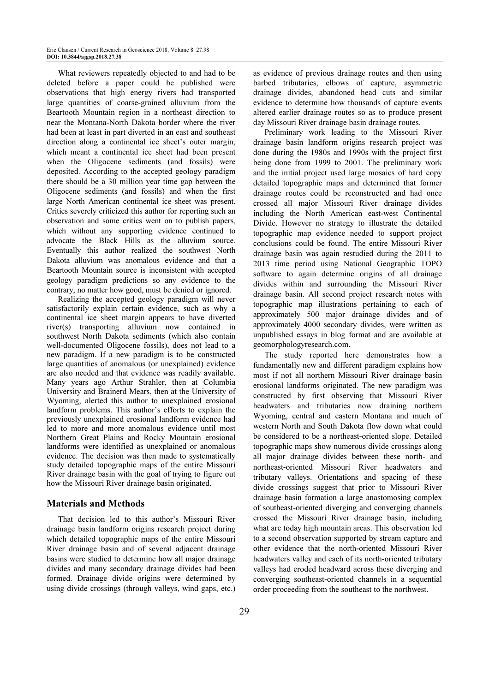What reviewers repeatedly objected to and had to be deleted before a paper could be published were observations that high energy rivers had transported large quantities of coarse-grained alluvium from the Beartooth Mountain region in a northeast direction to near the Montana-North Dakota border where the river had been at least in part diverted in an east and southeast direction along a continental ice sheet's outer margin, which meant a continental ice sheet had been present when the Oligocene sediments (and fossils) were deposited. According to the accepted geology paradigm there should be a 30 million year time gap between the Oligocene sediments (and fossils) and when the first large North American continental ice sheet was present. Critics severely criticized this author for reporting such an observation and some critics went on to publish papers, which without any supporting evidence continued to advocate the Black Hills as the alluvium source. Eventually this author realized the southwest North Dakota alluvium was anomalous evidence and that a Beartooth Mountain source is inconsistent with accepted geology paradigm predictions so any evidence to the contrary, no matter how good, must be denied or ignored.

Realizing the accepted geology paradigm will never satisfactorily explain certain evidence, such as why a continental ice sheet margin appears to have diverted river(s) transporting alluvium now contained in southwest North Dakota sediments (which also contain well-documented Oligocene fossils), does not lead to a new paradigm. If a new paradigm is to be constructed large quantities of anomalous (or unexplained) evidence are also needed and that evidence was readily available. Many years ago Arthur Strahler, then at Columbia University and Brainerd Mears, then at the University of Wyoming, alerted this author to unexplained erosional landform problems. This author's efforts to explain the previously unexplained erosional landform evidence had led to more and more anomalous evidence until most Northern Great Plains and Rocky Mountain erosional landforms were identified as unexplained or anomalous evidence. The decision was then made to systematically study detailed topographic maps of the entire Missouri River drainage basin with the goal of trying to figure out how the Missouri River drainage basin originated.

#### Materials and Methods

That decision led to this author's Missouri River drainage basin landform origins research project during which detailed topographic maps of the entire Missouri River drainage basin and of several adjacent drainage basins were studied to determine how all major drainage divides and many secondary drainage divides had been formed. Drainage divide origins were determined by using divide crossings (through valleys, wind gaps, etc.)

as evidence of previous drainage routes and then using barbed tributaries, elbows of capture, asymmetric drainage divides, abandoned head cuts and similar evidence to determine how thousands of capture events altered earlier drainage routes so as to produce present day Missouri River drainage basin drainage routes.

Preliminary work leading to the Missouri River drainage basin landform origins research project was done during the 1980s and 1990s with the project first being done from 1999 to 2001. The preliminary work and the initial project used large mosaics of hard copy detailed topographic maps and determined that former drainage routes could be reconstructed and had once crossed all major Missouri River drainage divides including the North American east-west Continental Divide. However no strategy to illustrate the detailed topographic map evidence needed to support project conclusions could be found. The entire Missouri River drainage basin was again restudied during the 2011 to 2013 time period using National Geographic TOPO software to again determine origins of all drainage divides within and surrounding the Missouri River drainage basin. All second project research notes with topographic map illustrations pertaining to each of approximately 500 major drainage divides and of approximately 4000 secondary divides, were written as unpublished essays in blog format and are available at geomorphologyresearch.com.

The study reported here demonstrates how a fundamentally new and different paradigm explains how most if not all northern Missouri River drainage basin erosional landforms originated. The new paradigm was constructed by first observing that Missouri River headwaters and tributaries now draining northern Wyoming, central and eastern Montana and much of western North and South Dakota flow down what could be considered to be a northeast-oriented slope. Detailed topographic maps show numerous divide crossings along all major drainage divides between these north- and northeast-oriented Missouri River headwaters and tributary valleys. Orientations and spacing of these divide crossings suggest that prior to Missouri River drainage basin formation a large anastomosing complex of southeast-oriented diverging and converging channels crossed the Missouri River drainage basin, including what are today high mountain areas. This observation led to a second observation supported by stream capture and other evidence that the north-oriented Missouri River headwaters valley and each of its north-oriented tributary valleys had eroded headward across these diverging and converging southeast-oriented channels in a sequential order proceeding from the southeast to the northwest.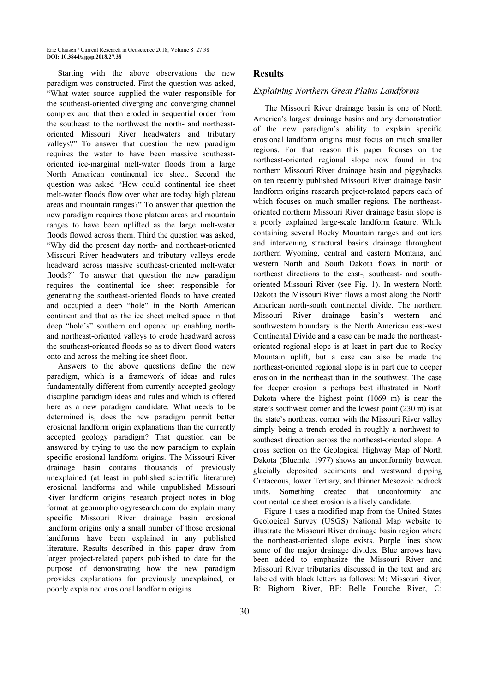Starting with the above observations the new paradigm was constructed. First the question was asked, "What water source supplied the water responsible for the southeast-oriented diverging and converging channel complex and that then eroded in sequential order from the southeast to the northwest the north- and northeastoriented Missouri River headwaters and tributary valleys?" To answer that question the new paradigm requires the water to have been massive southeastoriented ice-marginal melt-water floods from a large North American continental ice sheet. Second the question was asked "How could continental ice sheet melt-water floods flow over what are today high plateau areas and mountain ranges?" To answer that question the new paradigm requires those plateau areas and mountain ranges to have been uplifted as the large melt-water floods flowed across them. Third the question was asked, "Why did the present day north- and northeast-oriented Missouri River headwaters and tributary valleys erode headward across massive southeast-oriented melt-water floods?" To answer that question the new paradigm requires the continental ice sheet responsible for generating the southeast-oriented floods to have created and occupied a deep "hole" in the North American continent and that as the ice sheet melted space in that deep "hole's" southern end opened up enabling northand northeast-oriented valleys to erode headward across the southeast-oriented floods so as to divert flood waters onto and across the melting ice sheet floor.

Answers to the above questions define the new paradigm, which is a framework of ideas and rules fundamentally different from currently accepted geology discipline paradigm ideas and rules and which is offered here as a new paradigm candidate. What needs to be determined is, does the new paradigm permit better erosional landform origin explanations than the currently accepted geology paradigm? That question can be answered by trying to use the new paradigm to explain specific erosional landform origins. The Missouri River drainage basin contains thousands of previously unexplained (at least in published scientific literature) erosional landforms and while unpublished Missouri River landform origins research project notes in blog format at geomorphologyresearch.com do explain many specific Missouri River drainage basin erosional landform origins only a small number of those erosional landforms have been explained in any published literature. Results described in this paper draw from larger project-related papers published to date for the purpose of demonstrating how the new paradigm provides explanations for previously unexplained, or poorly explained erosional landform origins.

#### **Results**

#### Explaining Northern Great Plains Landforms

The Missouri River drainage basin is one of North America's largest drainage basins and any demonstration of the new paradigm's ability to explain specific erosional landform origins must focus on much smaller regions. For that reason this paper focuses on the northeast-oriented regional slope now found in the northern Missouri River drainage basin and piggybacks on ten recently published Missouri River drainage basin landform origins research project-related papers each of which focuses on much smaller regions. The northeastoriented northern Missouri River drainage basin slope is a poorly explained large-scale landform feature. While containing several Rocky Mountain ranges and outliers and intervening structural basins drainage throughout northern Wyoming, central and eastern Montana, and western North and South Dakota flows in north or northeast directions to the east-, southeast- and southoriented Missouri River (see Fig. 1). In western North Dakota the Missouri River flows almost along the North American north-south continental divide. The northern Missouri River drainage basin's western and southwestern boundary is the North American east-west Continental Divide and a case can be made the northeastoriented regional slope is at least in part due to Rocky Mountain uplift, but a case can also be made the northeast-oriented regional slope is in part due to deeper erosion in the northeast than in the southwest. The case for deeper erosion is perhaps best illustrated in North Dakota where the highest point (1069 m) is near the state's southwest corner and the lowest point (230 m) is at the state's northeast corner with the Missouri River valley simply being a trench eroded in roughly a northwest-tosoutheast direction across the northeast-oriented slope. A cross section on the Geological Highway Map of North Dakota (Bluemle, 1977) shows an unconformity between glacially deposited sediments and westward dipping Cretaceous, lower Tertiary, and thinner Mesozoic bedrock units. Something created that unconformity and continental ice sheet erosion is a likely candidate.

Figure 1 uses a modified map from the United States Geological Survey (USGS) National Map website to illustrate the Missouri River drainage basin region where the northeast-oriented slope exists. Purple lines show some of the major drainage divides. Blue arrows have been added to emphasize the Missouri River and Missouri River tributaries discussed in the text and are labeled with black letters as follows: M: Missouri River, B: Bighorn River, BF: Belle Fourche River, C: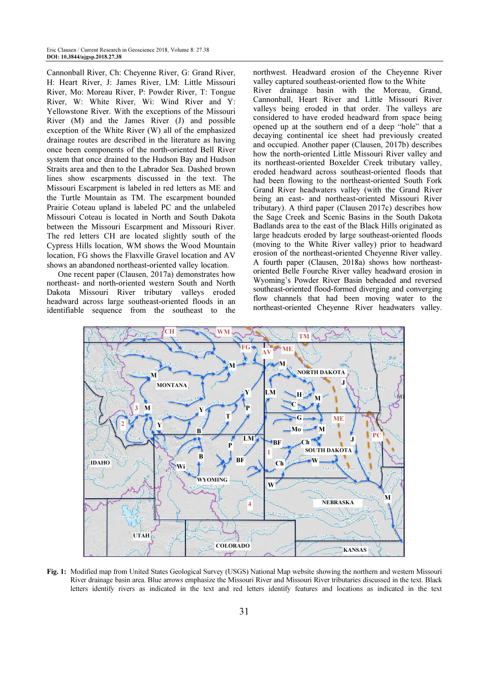Cannonball River, Ch: Cheyenne River, G: Grand River, H: Heart River, J: James River, LM: Little Missouri River, Mo: Moreau River, P: Powder River, T: Tongue River, W: White River, Wi: Wind River and Y: Yellowstone River. With the exceptions of the Missouri River (M) and the James River (J) and possible exception of the White River (W) all of the emphasized drainage routes are described in the literature as having once been components of the north-oriented Bell River system that once drained to the Hudson Bay and Hudson Straits area and then to the Labrador Sea. Dashed brown lines show escarpments discussed in the text. The Missouri Escarpment is labeled in red letters as ME and the Turtle Mountain as TM. The escarpment bounded Prairie Coteau upland is labeled PC and the unlabeled Missouri Coteau is located in North and South Dakota between the Missouri Escarpment and Missouri River. The red letters CH are located slightly south of the Cypress Hills location, WM shows the Wood Mountain location, FG shows the Flaxville Gravel location and AV shows an abandoned northeast-oriented valley location.

One recent paper (Clausen, 2017a) demonstrates how northeast- and north-oriented western South and North Dakota Missouri River tributary valleys eroded headward across large southeast-oriented floods in an identifiable sequence from the southeast to the northwest. Headward erosion of the Cheyenne River valley captured southeast-oriented flow to the White River drainage basin with the Moreau, Grand, Cannonball, Heart River and Little Missouri River valleys being eroded in that order. The valleys are considered to have eroded headward from space being opened up at the southern end of a deep "hole" that a decaying continental ice sheet had previously created and occupied. Another paper (Clausen, 2017b) describes how the north-oriented Little Missouri River valley and its northeast-oriented Boxelder Creek tributary valley, eroded headward across southeast-oriented floods that had been flowing to the northeast-oriented South Fork Grand River headwaters valley (with the Grand River being an east- and northeast-oriented Missouri River tributary). A third paper (Clausen 2017c) describes how the Sage Creek and Scenic Basins in the South Dakota Badlands area to the east of the Black Hills originated as large headcuts eroded by large southeast-oriented floods (moving to the White River valley) prior to headward erosion of the northeast-oriented Cheyenne River valley. A fourth paper (Clausen, 2018a) shows how northeastoriented Belle Fourche River valley headward erosion in Wyoming's Powder River Basin beheaded and reversed southeast-oriented flood-formed diverging and converging flow channels that had been moving water to the northeast-oriented Cheyenne River headwaters valley.



Fig. 1: Modified map from United States Geological Survey (USGS) National Map website showing the northern and western Missouri River drainage basin area. Blue arrows emphasize the Missouri River and Missouri River tributaries discussed in the text. Black letters identify rivers as indicated in the text and red letters identify features and locations as indicated in the text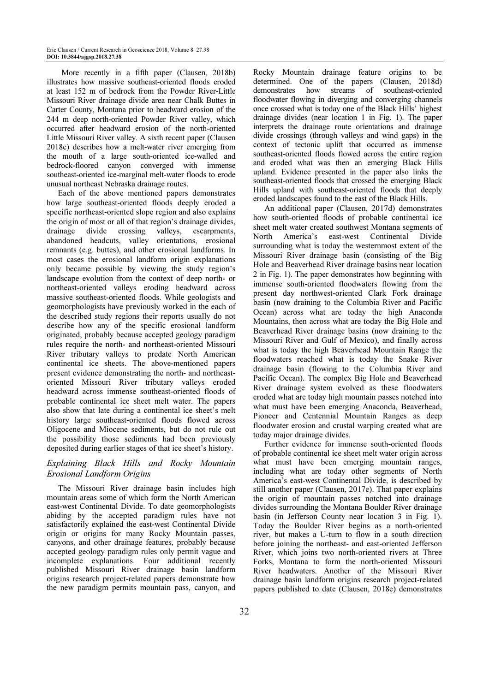More recently in a fifth paper (Clausen, 2018b) illustrates how massive southeast-oriented floods eroded at least 152 m of bedrock from the Powder River-Little Missouri River drainage divide area near Chalk Buttes in Carter County, Montana prior to headward erosion of the 244 m deep north-oriented Powder River valley, which occurred after headward erosion of the north-oriented Little Missouri River valley. A sixth recent paper (Clausen 2018c) describes how a melt-water river emerging from the mouth of a large south-oriented ice-walled and bedrock-floored canyon converged with immense southeast-oriented ice-marginal melt-water floods to erode unusual northeast Nebraska drainage routes.

Each of the above mentioned papers demonstrates how large southeast-oriented floods deeply eroded a specific northeast-oriented slope region and also explains the origin of most or all of that region's drainage divides, drainage divide crossing valleys, escarpments, abandoned headcuts, valley orientations, erosional remnants (e.g. buttes), and other erosional landforms. In most cases the erosional landform origin explanations only became possible by viewing the study region's landscape evolution from the context of deep north- or northeast-oriented valleys eroding headward across massive southeast-oriented floods. While geologists and geomorphologists have previously worked in the each of the described study regions their reports usually do not describe how any of the specific erosional landform originated, probably because accepted geology paradigm rules require the north- and northeast-oriented Missouri River tributary valleys to predate North American continental ice sheets. The above-mentioned papers present evidence demonstrating the north- and northeastoriented Missouri River tributary valleys eroded headward across immense southeast-oriented floods of probable continental ice sheet melt water. The papers also show that late during a continental ice sheet's melt history large southeast-oriented floods flowed across Oligocene and Miocene sediments, but do not rule out the possibility those sediments had been previously deposited during earlier stages of that ice sheet's history.

## Explaining Black Hills and Rocky Mountain Erosional Landform Origins

The Missouri River drainage basin includes high mountain areas some of which form the North American east-west Continental Divide. To date geomorphologists abiding by the accepted paradigm rules have not satisfactorily explained the east-west Continental Divide origin or origins for many Rocky Mountain passes, canyons, and other drainage features, probably because accepted geology paradigm rules only permit vague and incomplete explanations. Four additional recently published Missouri River drainage basin landform origins research project-related papers demonstrate how the new paradigm permits mountain pass, canyon, and Rocky Mountain drainage feature origins to be determined. One of the papers (Clausen, 2018d) demonstrates how streams of southeast-oriented floodwater flowing in diverging and converging channels once crossed what is today one of the Black Hills' highest drainage divides (near location 1 in Fig. 1). The paper interprets the drainage route orientations and drainage divide crossings (through valleys and wind gaps) in the context of tectonic uplift that occurred as immense southeast-oriented floods flowed across the entire region and eroded what was then an emerging Black Hills upland. Evidence presented in the paper also links the southeast-oriented floods that crossed the emerging Black Hills upland with southeast-oriented floods that deeply eroded landscapes found to the east of the Black Hills.

An additional paper (Clausen, 2017d) demonstrates how south-oriented floods of probable continental ice sheet melt water created southwest Montana segments of North America's east-west Continental Divide surrounding what is today the westernmost extent of the Missouri River drainage basin (consisting of the Big Hole and Beaverhead River drainage basins near location 2 in Fig. 1). The paper demonstrates how beginning with immense south-oriented floodwaters flowing from the present day northwest-oriented Clark Fork drainage basin (now draining to the Columbia River and Pacific Ocean) across what are today the high Anaconda Mountains, then across what are today the Big Hole and Beaverhead River drainage basins (now draining to the Missouri River and Gulf of Mexico), and finally across what is today the high Beaverhead Mountain Range the floodwaters reached what is today the Snake River drainage basin (flowing to the Columbia River and Pacific Ocean). The complex Big Hole and Beaverhead River drainage system evolved as these floodwaters eroded what are today high mountain passes notched into what must have been emerging Anaconda, Beaverhead, Pioneer and Centennial Mountain Ranges as deep floodwater erosion and crustal warping created what are today major drainage divides.

Further evidence for immense south-oriented floods of probable continental ice sheet melt water origin across what must have been emerging mountain ranges, including what are today other segments of North America's east-west Continental Divide, is described by still another paper (Clausen, 2017e). That paper explains the origin of mountain passes notched into drainage divides surrounding the Montana Boulder River drainage basin (in Jefferson County near location 3 in Fig. 1). Today the Boulder River begins as a north-oriented river, but makes a U-turn to flow in a south direction before joining the northeast- and east-oriented Jefferson River, which joins two north-oriented rivers at Three Forks, Montana to form the north-oriented Missouri River headwaters. Another of the Missouri River drainage basin landform origins research project-related papers published to date (Clausen, 2018e) demonstrates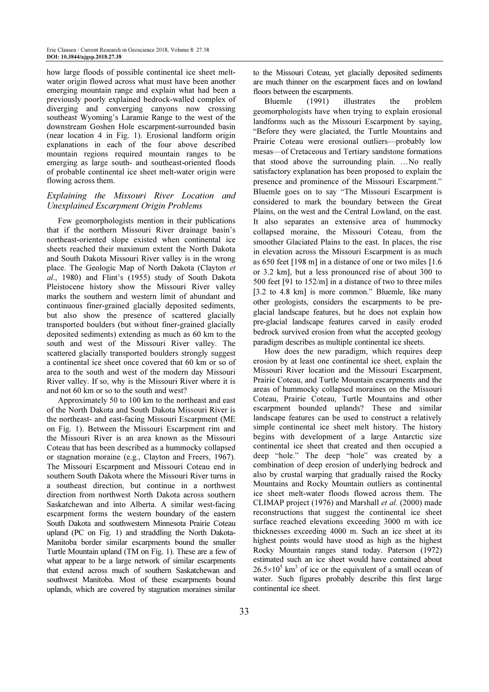how large floods of possible continental ice sheet meltwater origin flowed across what must have been another emerging mountain range and explain what had been a previously poorly explained bedrock-walled complex of diverging and converging canyons now crossing southeast Wyoming's Laramie Range to the west of the downstream Goshen Hole escarpment-surrounded basin (near location 4 in Fig. 1). Erosional landform origin explanations in each of the four above described mountain regions required mountain ranges to be emerging as large south- and southeast-oriented floods of probable continental ice sheet melt-water origin were flowing across them.

#### Explaining the Missouri River Location and Unexplained Escarpment Origin Problems

Few geomorphologists mention in their publications that if the northern Missouri River drainage basin's northeast-oriented slope existed when continental ice sheets reached their maximum extent the North Dakota and South Dakota Missouri River valley is in the wrong place. The Geologic Map of North Dakota (Clayton et al., 1980) and Flint's (1955) study of South Dakota Pleistocene history show the Missouri River valley marks the southern and western limit of abundant and continuous finer-grained glacially deposited sediments, but also show the presence of scattered glacially transported boulders (but without finer-grained glacially deposited sediments) extending as much as 60 km to the south and west of the Missouri River valley. The scattered glacially transported boulders strongly suggest a continental ice sheet once covered that 60 km or so of area to the south and west of the modern day Missouri River valley. If so, why is the Missouri River where it is and not 60 km or so to the south and west?

Approximately 50 to 100 km to the northeast and east of the North Dakota and South Dakota Missouri River is the northeast- and east-facing Missouri Escarpment (ME on Fig. 1). Between the Missouri Escarpment rim and the Missouri River is an area known as the Missouri Coteau that has been described as a hummocky collapsed or stagnation moraine (e.g., Clayton and Freers, 1967). The Missouri Escarpment and Missouri Coteau end in southern South Dakota where the Missouri River turns in a southeast direction, but continue in a northwest direction from northwest North Dakota across southern Saskatchewan and into Alberta. A similar west-facing escarpment forms the western boundary of the eastern South Dakota and southwestern Minnesota Prairie Coteau upland (PC on Fig. 1) and straddling the North Dakota-Manitoba border similar escarpments bound the smaller Turtle Mountain upland (TM on Fig. 1). These are a few of what appear to be a large network of similar escarpments that extend across much of southern Saskatchewan and southwest Manitoba. Most of these escarpments bound uplands, which are covered by stagnation moraines similar

to the Missouri Coteau, yet glacially deposited sediments are much thinner on the escarpment faces and on lowland floors between the escarpments.

Bluemle (1991) illustrates the problem geomorphologists have when trying to explain erosional landforms such as the Missouri Escarpment by saying, "Before they were glaciated, the Turtle Mountains and Prairie Coteau were erosional outliers—probably low mesas—of Cretaceous and Tertiary sandstone formations that stood above the surrounding plain. …No really satisfactory explanation has been proposed to explain the presence and prominence of the Missouri Escarpment." Bluemle goes on to say "The Missouri Escarpment is considered to mark the boundary between the Great Plains, on the west and the Central Lowland, on the east. It also separates an extensive area of hummocky collapsed moraine, the Missouri Coteau, from the smoother Glaciated Plains to the east. In places, the rise in elevation across the Missouri Escarpment is as much as 650 feet [198 m] in a distance of one or two miles [1.6 or 3.2 km], but a less pronounced rise of about 300 to 500 feet [91 to 152/m] in a distance of two to three miles [3.2 to 4.8 km] is more common." Bluemle, like many other geologists, considers the escarpments to be preglacial landscape features, but he does not explain how pre-glacial landscape features carved in easily eroded bedrock survived erosion from what the accepted geology paradigm describes as multiple continental ice sheets.

How does the new paradigm, which requires deep erosion by at least one continental ice sheet, explain the Missouri River location and the Missouri Escarpment, Prairie Coteau, and Turtle Mountain escarpments and the areas of hummocky collapsed moraines on the Missouri Coteau, Prairie Coteau, Turtle Mountains and other escarpment bounded uplands? These and similar landscape features can be used to construct a relatively simple continental ice sheet melt history. The history begins with development of a large Antarctic size continental ice sheet that created and then occupied a deep "hole." The deep "hole" was created by a combination of deep erosion of underlying bedrock and also by crustal warping that gradually raised the Rocky Mountains and Rocky Mountain outliers as continental ice sheet melt-water floods flowed across them. The CLIMAP project (1976) and Marshall et al. (2000) made reconstructions that suggest the continental ice sheet surface reached elevations exceeding 3000 m with ice thicknesses exceeding 4000 m. Such an ice sheet at its highest points would have stood as high as the highest Rocky Mountain ranges stand today. Paterson (1972) estimated such an ice sheet would have contained about  $26.5 \times 10^5$  km<sup>3</sup> of ice or the equivalent of a small ocean of water. Such figures probably describe this first large continental ice sheet.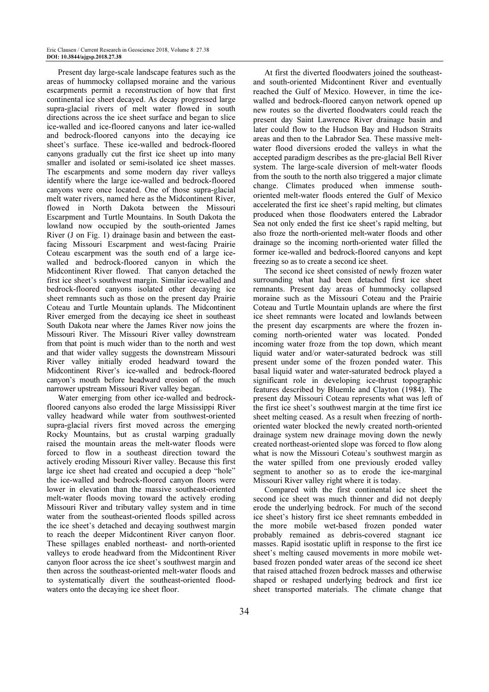Present day large-scale landscape features such as the areas of hummocky collapsed moraine and the various escarpments permit a reconstruction of how that first continental ice sheet decayed. As decay progressed large supra-glacial rivers of melt water flowed in south directions across the ice sheet surface and began to slice ice-walled and ice-floored canyons and later ice-walled and bedrock-floored canyons into the decaying ice sheet's surface. These ice-walled and bedrock-floored canyons gradually cut the first ice sheet up into many smaller and isolated or semi-isolated ice sheet masses. The escarpments and some modern day river valleys identify where the large ice-walled and bedrock-floored canyons were once located. One of those supra-glacial melt water rivers, named here as the Midcontinent River, flowed in North Dakota between the Missouri Escarpment and Turtle Mountains. In South Dakota the lowland now occupied by the south-oriented James River (J on Fig. 1) drainage basin and between the eastfacing Missouri Escarpment and west-facing Prairie Coteau escarpment was the south end of a large icewalled and bedrock-floored canyon in which the Midcontinent River flowed. That canyon detached the first ice sheet's southwest margin. Similar ice-walled and bedrock-floored canyons isolated other decaying ice sheet remnants such as those on the present day Prairie Coteau and Turtle Mountain uplands. The Midcontinent River emerged from the decaying ice sheet in southeast South Dakota near where the James River now joins the Missouri River. The Missouri River valley downstream from that point is much wider than to the north and west and that wider valley suggests the downstream Missouri River valley initially eroded headward toward the Midcontinent River's ice-walled and bedrock-floored canyon's mouth before headward erosion of the much narrower upstream Missouri River valley began.

Water emerging from other ice-walled and bedrockfloored canyons also eroded the large Mississippi River valley headward while water from southwest-oriented supra-glacial rivers first moved across the emerging Rocky Mountains, but as crustal warping gradually raised the mountain areas the melt-water floods were forced to flow in a southeast direction toward the actively eroding Missouri River valley. Because this first large ice sheet had created and occupied a deep "hole" the ice-walled and bedrock-floored canyon floors were lower in elevation than the massive southeast-oriented melt-water floods moving toward the actively eroding Missouri River and tributary valley system and in time water from the southeast-oriented floods spilled across the ice sheet's detached and decaying southwest margin to reach the deeper Midcontinent River canyon floor. These spillages enabled northeast- and north-oriented valleys to erode headward from the Midcontinent River canyon floor across the ice sheet's southwest margin and then across the southeast-oriented melt-water floods and to systematically divert the southeast-oriented floodwaters onto the decaying ice sheet floor.

At first the diverted floodwaters joined the southeastand south-oriented Midcontinent River and eventually reached the Gulf of Mexico. However, in time the icewalled and bedrock-floored canyon network opened up new routes so the diverted floodwaters could reach the present day Saint Lawrence River drainage basin and later could flow to the Hudson Bay and Hudson Straits areas and then to the Labrador Sea. These massive meltwater flood diversions eroded the valleys in what the accepted paradigm describes as the pre-glacial Bell River system. The large-scale diversion of melt-water floods from the south to the north also triggered a major climate change. Climates produced when immense southoriented melt-water floods entered the Gulf of Mexico accelerated the first ice sheet's rapid melting, but climates produced when those floodwaters entered the Labrador Sea not only ended the first ice sheet's rapid melting, but also froze the north-oriented melt-water floods and other drainage so the incoming north-oriented water filled the former ice-walled and bedrock-floored canyons and kept freezing so as to create a second ice sheet.

The second ice sheet consisted of newly frozen water surrounding what had been detached first ice sheet remnants. Present day areas of hummocky collapsed moraine such as the Missouri Coteau and the Prairie Coteau and Turtle Mountain uplands are where the first ice sheet remnants were located and lowlands between the present day escarpments are where the frozen incoming north-oriented water was located. Ponded incoming water froze from the top down, which meant liquid water and/or water-saturated bedrock was still present under some of the frozen ponded water. This basal liquid water and water-saturated bedrock played a significant role in developing ice-thrust topographic features described by Bluemle and Clayton (1984). The present day Missouri Coteau represents what was left of the first ice sheet's southwest margin at the time first ice sheet melting ceased. As a result when freezing of northoriented water blocked the newly created north-oriented drainage system new drainage moving down the newly created northeast-oriented slope was forced to flow along what is now the Missouri Coteau's southwest margin as the water spilled from one previously eroded valley segment to another so as to erode the ice-marginal Missouri River valley right where it is today.

Compared with the first continental ice sheet the second ice sheet was much thinner and did not deeply erode the underlying bedrock. For much of the second ice sheet's history first ice sheet remnants embedded in the more mobile wet-based frozen ponded water probably remained as debris-covered stagnant ice masses. Rapid isostatic uplift in response to the first ice sheet's melting caused movements in more mobile wetbased frozen ponded water areas of the second ice sheet that raised attached frozen bedrock masses and otherwise shaped or reshaped underlying bedrock and first ice sheet transported materials. The climate change that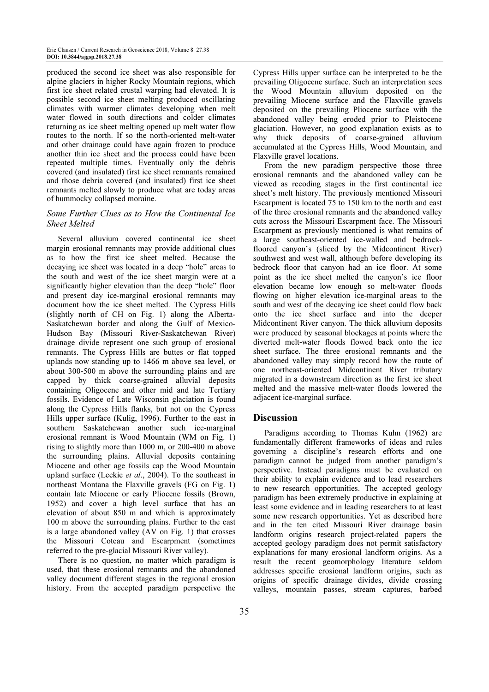produced the second ice sheet was also responsible for alpine glaciers in higher Rocky Mountain regions, which first ice sheet related crustal warping had elevated. It is possible second ice sheet melting produced oscillating climates with warmer climates developing when melt water flowed in south directions and colder climates returning as ice sheet melting opened up melt water flow routes to the north. If so the north-oriented melt-water and other drainage could have again frozen to produce another thin ice sheet and the process could have been repeated multiple times. Eventually only the debris covered (and insulated) first ice sheet remnants remained and those debria covered (and insulated) first ice sheet remnants melted slowly to produce what are today areas of hummocky collapsed moraine.

### Some Further Clues as to How the Continental Ice Sheet Melted

Several alluvium covered continental ice sheet margin erosional remnants may provide additional clues as to how the first ice sheet melted. Because the decaying ice sheet was located in a deep "hole" areas to the south and west of the ice sheet margin were at a significantly higher elevation than the deep "hole" floor and present day ice-marginal erosional remnants may document how the ice sheet melted. The Cypress Hills (slightly north of CH on Fig. 1) along the Alberta-Saskatchewan border and along the Gulf of Mexico-Hudson Bay (Missouri River-Saskatchewan River) drainage divide represent one such group of erosional remnants. The Cypress Hills are buttes or flat topped uplands now standing up to 1466 m above sea level, or about 300-500 m above the surrounding plains and are capped by thick coarse-grained alluvial deposits containing Oligocene and other mid and late Tertiary fossils. Evidence of Late Wisconsin glaciation is found along the Cypress Hills flanks, but not on the Cypress Hills upper surface (Kulig, 1996). Further to the east in southern Saskatchewan another such ice-marginal erosional remnant is Wood Mountain (WM on Fig. 1) rising to slightly more than 1000 m, or 200-400 m above the surrounding plains. Alluvial deposits containing Miocene and other age fossils cap the Wood Mountain upland surface (Leckie et al., 2004). To the southeast in northeast Montana the Flaxville gravels (FG on Fig. 1) contain late Miocene or early Pliocene fossils (Brown, 1952) and cover a high level surface that has an elevation of about 850 m and which is approximately 100 m above the surrounding plains. Further to the east is a large abandoned valley (AV on Fig. 1) that crosses the Missouri Coteau and Escarpment (sometimes referred to the pre-glacial Missouri River valley).

There is no question, no matter which paradigm is used, that these erosional remnants and the abandoned valley document different stages in the regional erosion history. From the accepted paradigm perspective the

Cypress Hills upper surface can be interpreted to be the prevailing Oligocene surface. Such an interpretation sees the Wood Mountain alluvium deposited on the prevailing Miocene surface and the Flaxville gravels deposited on the prevailing Pliocene surface with the abandoned valley being eroded prior to Pleistocene glaciation. However, no good explanation exists as to why thick deposits of coarse-grained alluvium accumulated at the Cypress Hills, Wood Mountain, and Flaxville gravel locations.

From the new paradigm perspective those three erosional remnants and the abandoned valley can be viewed as recoding stages in the first continental ice sheet's melt history. The previously mentioned Missouri Escarpment is located 75 to 150 km to the north and east of the three erosional remnants and the abandoned valley cuts across the Missouri Escarpment face. The Missouri Escarpment as previously mentioned is what remains of a large southeast-oriented ice-walled and bedrockfloored canyon's (sliced by the Midcontinent River) southwest and west wall, although before developing its bedrock floor that canyon had an ice floor. At some point as the ice sheet melted the canyon's ice floor elevation became low enough so melt-water floods flowing on higher elevation ice-marginal areas to the south and west of the decaying ice sheet could flow back onto the ice sheet surface and into the deeper Midcontinent River canyon. The thick alluvium deposits were produced by seasonal blockages at points where the diverted melt-water floods flowed back onto the ice sheet surface. The three erosional remnants and the abandoned valley may simply record how the route of one northeast-oriented Midcontinent River tributary migrated in a downstream direction as the first ice sheet melted and the massive melt-water floods lowered the adjacent ice-marginal surface.

#### Discussion

Paradigms according to Thomas Kuhn (1962) are fundamentally different frameworks of ideas and rules governing a discipline's research efforts and one paradigm cannot be judged from another paradigm's perspective. Instead paradigms must be evaluated on their ability to explain evidence and to lead researchers to new research opportunities. The accepted geology paradigm has been extremely productive in explaining at least some evidence and in leading researchers to at least some new research opportunities. Yet as described here and in the ten cited Missouri River drainage basin landform origins research project-related papers the accepted geology paradigm does not permit satisfactory explanations for many erosional landform origins. As a result the recent geomorphology literature seldom addresses specific erosional landform origins, such as origins of specific drainage divides, divide crossing valleys, mountain passes, stream captures, barbed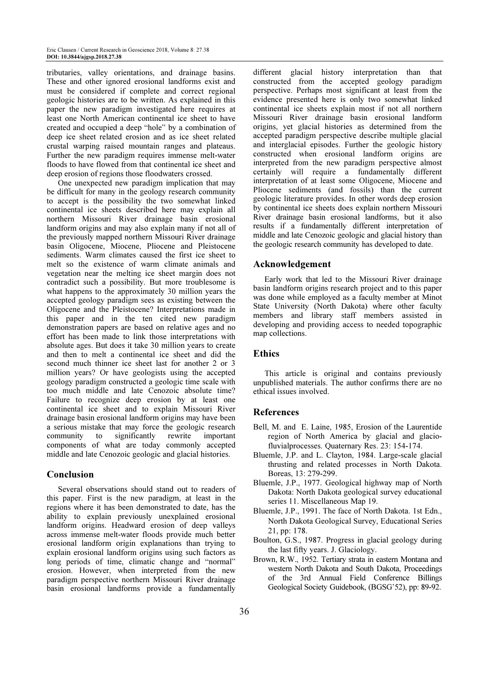tributaries, valley orientations, and drainage basins. These and other ignored erosional landforms exist and must be considered if complete and correct regional geologic histories are to be written. As explained in this paper the new paradigm investigated here requires at least one North American continental ice sheet to have created and occupied a deep "hole" by a combination of deep ice sheet related erosion and as ice sheet related crustal warping raised mountain ranges and plateaus. Further the new paradigm requires immense melt-water floods to have flowed from that continental ice sheet and deep erosion of regions those floodwaters crossed.

One unexpected new paradigm implication that may be difficult for many in the geology research community to accept is the possibility the two somewhat linked continental ice sheets described here may explain all northern Missouri River drainage basin erosional landform origins and may also explain many if not all of the previously mapped northern Missouri River drainage basin Oligocene, Miocene, Pliocene and Pleistocene sediments. Warm climates caused the first ice sheet to melt so the existence of warm climate animals and vegetation near the melting ice sheet margin does not contradict such a possibility. But more troublesome is what happens to the approximately 30 million years the accepted geology paradigm sees as existing between the Oligocene and the Pleistocene? Interpretations made in this paper and in the ten cited new paradigm demonstration papers are based on relative ages and no effort has been made to link those interpretations with absolute ages. But does it take 30 million years to create and then to melt a continental ice sheet and did the second much thinner ice sheet last for another 2 or 3 million years? Or have geologists using the accepted geology paradigm constructed a geologic time scale with too much middle and late Cenozoic absolute time? Failure to recognize deep erosion by at least one continental ice sheet and to explain Missouri River drainage basin erosional landform origins may have been a serious mistake that may force the geologic research community to significantly rewrite important components of what are today commonly accepted middle and late Cenozoic geologic and glacial histories.

## Conclusion

Several observations should stand out to readers of this paper. First is the new paradigm, at least in the regions where it has been demonstrated to date, has the ability to explain previously unexplained erosional landform origins. Headward erosion of deep valleys across immense melt-water floods provide much better erosional landform origin explanations than trying to explain erosional landform origins using such factors as long periods of time, climatic change and "normal" erosion. However, when interpreted from the new paradigm perspective northern Missouri River drainage basin erosional landforms provide a fundamentally

different glacial history interpretation than that constructed from the accepted geology paradigm perspective. Perhaps most significant at least from the evidence presented here is only two somewhat linked continental ice sheets explain most if not all northern Missouri River drainage basin erosional landform origins, yet glacial histories as determined from the accepted paradigm perspective describe multiple glacial and interglacial episodes. Further the geologic history constructed when erosional landform origins are interpreted from the new paradigm perspective almost certainly will require a fundamentally different interpretation of at least some Oligocene, Miocene and Pliocene sediments (and fossils) than the current geologic literature provides. In other words deep erosion by continental ice sheets does explain northern Missouri River drainage basin erosional landforms, but it also results if a fundamentally different interpretation of middle and late Cenozoic geologic and glacial history than the geologic research community has developed to date.

#### Acknowledgement

Early work that led to the Missouri River drainage basin landform origins research project and to this paper was done while employed as a faculty member at Minot State University (North Dakota) where other faculty members and library staff members assisted in developing and providing access to needed topographic map collections.

#### **Ethics**

This article is original and contains previously unpublished materials. The author confirms there are no ethical issues involved.

#### References

- Bell, M. and E. Laine, 1985, Erosion of the Laurentide region of North America by glacial and glaciofluvialprocesses. Quaternary Res. 23: 154-174.
- Bluemle, J.P. and L. Clayton, 1984. Large-scale glacial thrusting and related processes in North Dakota. Boreas, 13: 279-299.
- Bluemle, J.P., 1977. Geological highway map of North Dakota: North Dakota geological survey educational series 11. Miscellaneous Map 19.
- Bluemle, J.P., 1991. The face of North Dakota. 1st Edn., North Dakota Geological Survey, Educational Series 21, pp: 178.
- Boulton, G.S., 1987. Progress in glacial geology during the last fifty years. J. Glaciology.
- Brown, R.W., 1952. Tertiary strata in eastern Montana and western North Dakota and South Dakota, Proceedings of the 3rd Annual Field Conference Billings Geological Society Guidebook, (BGSG'52), pp: 89-92.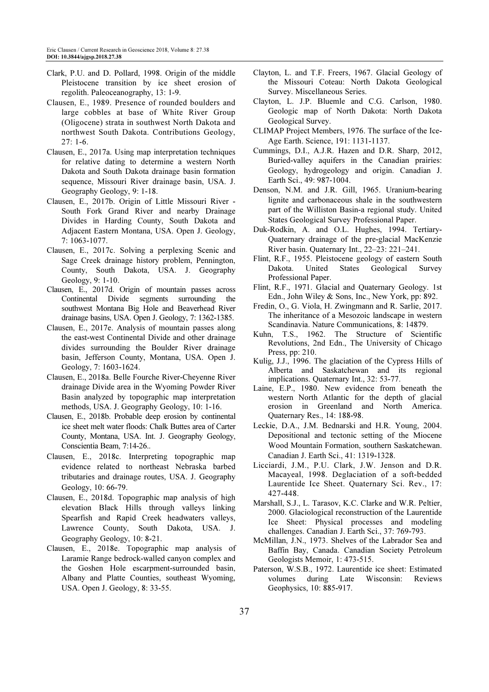- Clark, P.U. and D. Pollard, 1998. Origin of the middle Pleistocene transition by ice sheet erosion of regolith. Paleoceanography, 13: 1-9.
- Clausen, E., 1989. Presence of rounded boulders and large cobbles at base of White River Group (Oligocene) strata in southwest North Dakota and northwest South Dakota. Contributions Geology, 27: 1-6.
- Clausen, E., 2017a. Using map interpretation techniques for relative dating to determine a western North Dakota and South Dakota drainage basin formation sequence, Missouri River drainage basin, USA. J. Geography Geology, 9: 1-18.
- Clausen, E., 2017b. Origin of Little Missouri River South Fork Grand River and nearby Drainage Divides in Harding County, South Dakota and Adjacent Eastern Montana, USA. Open J. Geology, 7: 1063-1077.
- Clausen, E., 2017c. Solving a perplexing Scenic and Sage Creek drainage history problem, Pennington, County, South Dakota, USA. J. Geography Geology, 9: 1-10.
- Clausen, E., 2017d. Origin of mountain passes across Continental Divide segments surrounding the southwest Montana Big Hole and Beaverhead River drainage basins, USA. Open J. Geology, 7: 1362-1385.
- Clausen, E., 2017e. Analysis of mountain passes along the east-west Continental Divide and other drainage divides surrounding the Boulder River drainage basin, Jefferson County, Montana, USA. Open J. Geology, 7: 1603-1624.
- Clausen, E., 2018a. Belle Fourche River-Cheyenne River drainage Divide area in the Wyoming Powder River Basin analyzed by topographic map interpretation methods, USA. J. Geography Geology, 10: 1-16.
- Clausen, E., 2018b. Probable deep erosion by continental ice sheet melt water floods: Chalk Buttes area of Carter County, Montana, USA. Int. J. Geography Geology, Conscientia Beam, 7:14-26..
- Clausen, E., 2018c. Interpreting topographic map evidence related to northeast Nebraska barbed tributaries and drainage routes, USA. J. Geography Geology, 10: 66-79.
- Clausen, E., 2018d. Topographic map analysis of high elevation Black Hills through valleys linking Spearfish and Rapid Creek headwaters valleys, Lawrence County, South Dakota, USA. Geography Geology, 10: 8-21.
- Clausen, E., 2018e. Topographic map analysis of Laramie Range bedrock-walled canyon complex and the Goshen Hole escarpment-surrounded basin, Albany and Platte Counties, southeast Wyoming, USA. Open J. Geology, 8: 33-55.
- Clayton, L. and T.F. Freers, 1967. Glacial Geology of the Missouri Coteau: North Dakota Geological Survey. Miscellaneous Series.
- Clayton, L. J.P. Bluemle and C.G. Carlson, 1980. Geologic map of North Dakota: North Dakota Geological Survey.
- CLIMAP Project Members, 1976. The surface of the Ice-Age Earth. Science, 191: 1131-1137.
- Cummings, D.I., A.J.R. Hazen and D.R. Sharp, 2012, Buried-valley aquifers in the Canadian prairies: Geology, hydrogeology and origin. Canadian J. Earth Sci., 49: 987-1004.
- Denson, N.M. and J.R. Gill, 1965. Uranium-bearing lignite and carbonaceous shale in the southwestern part of the Williston Basin-a regional study. United States Geological Survey Professional Paper.
- Duk-Rodkin, A. and O.L. Hughes, 1994. Tertiary-Quaternary drainage of the pre-glacial MacKenzie River basin. Quaternary Int., 22–23: 221–241.
- Flint, R.F., 1955. Pleistocene geology of eastern South Dakota. United States Geological Professional Paper.
- Flint, R.F., 1971. Glacial and Quaternary Geology. 1st Edn., John Wiley & Sons, Inc., New York, pp: 892.
- Fredin, O., G. Viola, H. Zwingmann and R. Sarlie, 2017. The inheritance of a Mesozoic landscape in western Scandinavia. Nature Communications, 8: 14879.
- Kuhn, T.S., 1962. The Structure of Scientific Revolutions, 2nd Edn., The University of Chicago Press, pp: 210.
- Kulig, J.J., 1996. The glaciation of the Cypress Hills of Alberta and Saskatchewan and its regional implications. Quaternary Int., 32: 53-77.
- Laine, E.P., 1980. New evidence from beneath the western North Atlantic for the depth of glacial erosion in Greenland and North America. Quaternary Res., 14: 188-98.
- Leckie, D.A., J.M. Bednarski and H.R. Young, 2004. Depositional and tectonic setting of the Miocene Wood Mountain Formation, southern Saskatchewan. Canadian J. Earth Sci., 41: 1319-1328.
- Licciardi, J.M., P.U. Clark, J.W. Jenson and D.R. Macayeal, 1998. Deglaciation of a soft-bedded Laurentide Ice Sheet. Quaternary Sci. Rev., 17: 427-448.
- Marshall, S.J., L. Tarasov, K.C. Clarke and W.R. Peltier, 2000. Glaciological reconstruction of the Laurentide Ice Sheet: Physical processes and modeling challenges. Canadian J. Earth Sci., 37: 769-793.
- McMillan, J.N., 1973. Shelves of the Labrador Sea and Baffin Bay, Canada. Canadian Society Petroleum Geologists Memoir, 1: 473-515.
- Paterson, W.S.B., 1972. Laurentide ice sheet: Estimated volumes during Late Wisconsin: Reviews Geophysics, 10: 885-917.